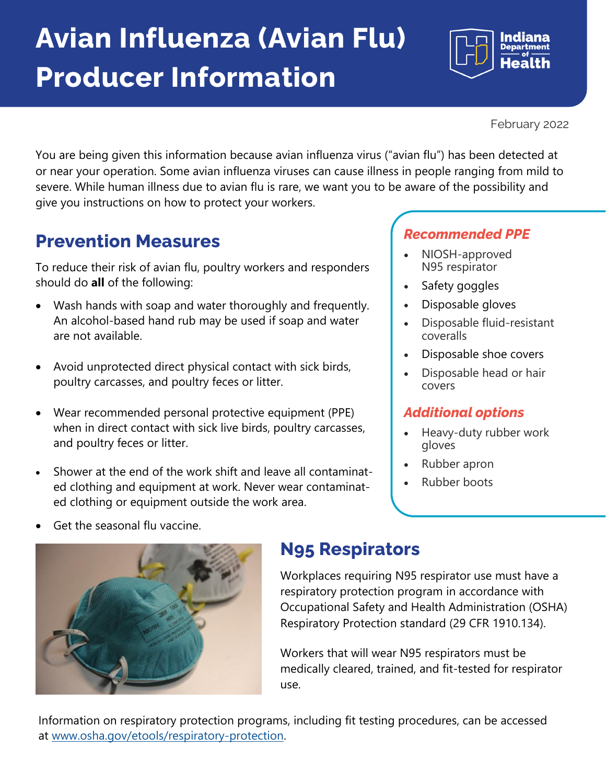## **Avian Influenza (Avian Flu) Producer Information**

Indiana

February 2022

You are being given this information because avian influenza virus ("avian flu") has been detected at or near your operation. Some avian influenza viruses can cause illness in people ranging from mild to severe. While human illness due to avian flu is rare, we want you to be aware of the possibility and give you instructions on how to protect your workers.

### **Prevention Measures**

To reduce their risk of avian flu, poultry workers and responders should do **all** of the following:

- Wash hands with soap and water thoroughly and frequently. An alcohol-based hand rub may be used if soap and water are not available.
- Avoid unprotected direct physical contact with sick birds, poultry carcasses, and poultry feces or litter.
- Wear recommended personal protective equipment (PPE) when in direct contact with sick live birds, poultry carcasses, and poultry feces or litter.
- Shower at the end of the work shift and leave all contaminated clothing and equipment at work. Never wear contaminated clothing or equipment outside the work area.

#### *Recommended PPE*

- NIOSH-approved N95 respirator
- Safety goggles
- Disposable gloves
- Disposable fluid-resistant coveralls
- Disposable shoe covers
- Disposable head or hair covers

#### *Additional options*

- Heavy-duty rubber work gloves
- Rubber apron
- Rubber boots

Get the seasonal flu vaccine.



### **N95 Respirators**

Workplaces requiring N95 respirator use must have a respiratory protection program in accordance with Occupational Safety and Health Administration (OSHA) Respiratory Protection standard (29 CFR 1910.134).

Workers that will wear N95 respirators must be medically cleared, trained, and fit-tested for respirator use.

Information on respiratory protection programs, including fit testing procedures, can be accessed at www.osha.gov/etools/respiratory-protection.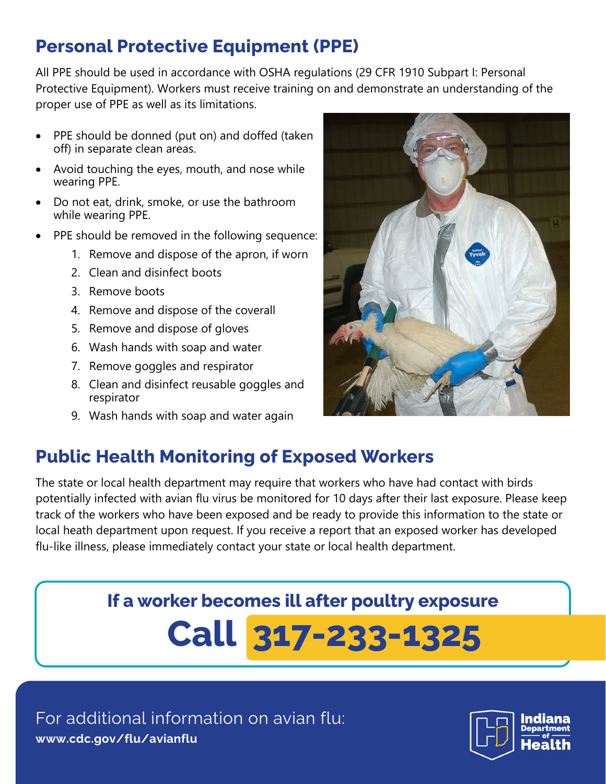### **Personal Protective Equipment (PPE)**

All PPE should be used in accordance with OSHA regulations (29 CFR 1910 Subpart I: Personal Protective Equipment). Workers must receive training on and demonstrate an understanding of the proper use of PPE as well as its limitations.

- PPE should be donned (put on) and doffed (taken off) in separate clean areas.
- Avoid touching the eyes, mouth, and nose while wearing PPE.
- Do not eat, drink, smoke, or use the bathroom while wearing PPE.
- PPE should be removed in the following sequence:
	- 1. Remove and dispose of the apron, if worn
	- 2. Clean and disinfect boots
	- 3. Remove boots
	- 4. Remove and dispose of the coverall
	- 5. Remove and dispose of gloves
	- 6. Wash hands with soap and water
	- 7. Remove goggles and respirator
	- 8. Clean and disinfect reusable goggles and respirator
	- 9. Wash hands with soap and water again



### **Public Health Monitoring of Exposed Workers**

The state or local health department may require that workers who have had contact with birds potentially infected with avian flu virus be monitored for 10 days after their last exposure. Please keep track of the workers who have been exposed and be ready to provide this information to the state or local heath department upon request. If you receive a report that an exposed worker has developed flu-like illness, please immediately contact your state or local health department.

## **Call 317-233-1325 If a worker becomes ill after poultry exposure**

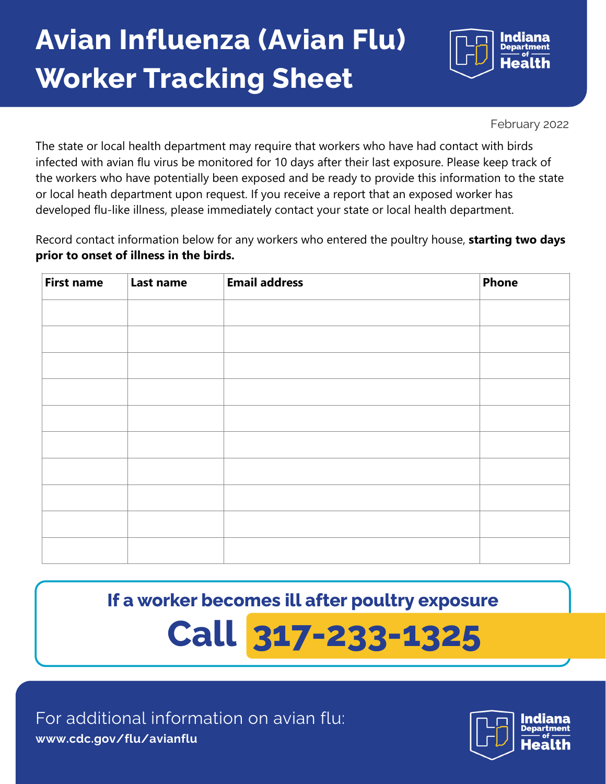## **Avian Influenza (Avian Flu) Worker Tracking Sheet**



February 2022

The state or local health department may require that workers who have had contact with birds infected with avian flu virus be monitored for 10 days after their last exposure. Please keep track of the workers who have potentially been exposed and be ready to provide this information to the state or local heath department upon request. If you receive a report that an exposed worker has developed flu-like illness, please immediately contact your state or local health department.

Record contact information below for any workers who entered the poultry house, **starting two days prior to onset of illness in the birds.** 

| <b>First name</b> | Last name | <b>Email address</b> | Phone |
|-------------------|-----------|----------------------|-------|
|                   |           |                      |       |
|                   |           |                      |       |
|                   |           |                      |       |
|                   |           |                      |       |
|                   |           |                      |       |
|                   |           |                      |       |
|                   |           |                      |       |
|                   |           |                      |       |
|                   |           |                      |       |
|                   |           |                      |       |

**If a worker becomes ill after poultry exposure** 

# **Call 317-233-1325**

For additional information on avian flu: **www.cdc.gov/flu/avianflu**

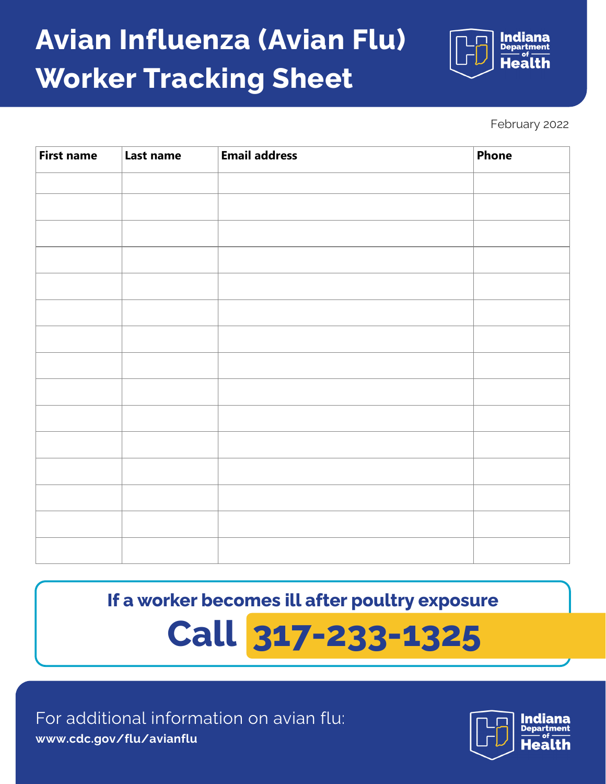## **Avian Influenza (Avian Flu) Worker Tracking Sheet**



February 2022

| <b>First name</b> | Last name | <b>Email address</b> | <b>Phone</b> |
|-------------------|-----------|----------------------|--------------|
|                   |           |                      |              |
|                   |           |                      |              |
|                   |           |                      |              |
|                   |           |                      |              |
|                   |           |                      |              |
|                   |           |                      |              |
|                   |           |                      |              |
|                   |           |                      |              |
|                   |           |                      |              |
|                   |           |                      |              |
|                   |           |                      |              |
|                   |           |                      |              |
|                   |           |                      |              |
|                   |           |                      |              |
|                   |           |                      |              |

**If a worker becomes ill after poultry exposure** 

# **Call 317-233-1325**

For additional information on avian flu: **www.cdc.gov/flu/avianflu**